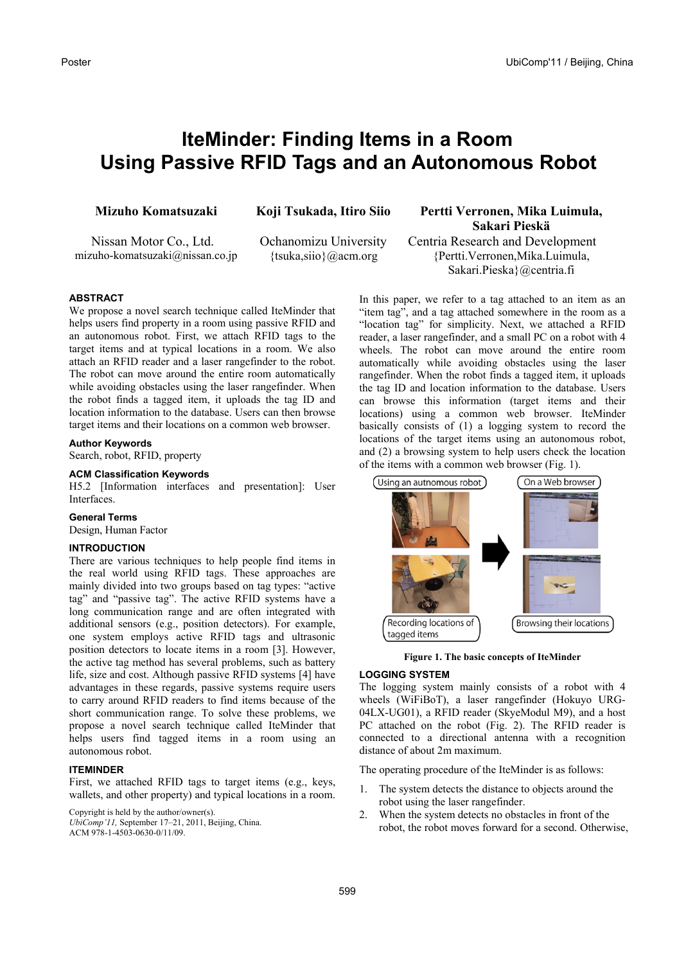# **IteMinder: Finding Items in a Room Using Passive RFID Tags and an Autonomous Robot**

**Mizuho Komatsuzaki** 

**Koji Tsukada, Itiro Siio**

Nissan Motor Co., Ltd. mizuho-komatsuzaki@nissan.co.jp Ochanomizu University {tsuka,siio}@acm.org

**Pertti Verronen, Mika Luimula, Sakari Pieskä** Centria Research and Development {Pertti.Verronen,Mika.Luimula, Sakari.Pieska}@centria.fi

## **ABSTRACT**

We propose a novel search technique called IteMinder that helps users find property in a room using passive RFID and an autonomous robot. First, we attach RFID tags to the target items and at typical locations in a room. We also attach an RFID reader and a laser rangefinder to the robot. The robot can move around the entire room automatically while avoiding obstacles using the laser rangefinder. When the robot finds a tagged item, it uploads the tag ID and location information to the database. Users can then browse target items and their locations on a common web browser.

**Author Keywords** 

Search, robot, RFID, property

#### **ACM Classification Keywords**

H5.2 [Information interfaces and presentation]: User Interfaces.

### **General Terms**

Design, Human Factor

### **INTRODUCTION**

There are various techniques to help people find items in the real world using RFID tags. These approaches are mainly divided into two groups based on tag types: "active tag" and "passive tag". The active RFID systems have a long communication range and are often integrated with additional sensors (e.g., position detectors). For example, one system employs active RFID tags and ultrasonic position detectors to locate items in a room [3]. However, the active tag method has several problems, such as battery life, size and cost. Although passive RFID systems [4] have advantages in these regards, passive systems require users to carry around RFID readers to find items because of the short communication range. To solve these problems, we propose a novel search technique called IteMinder that helps users find tagged items in a room using an autonomous robot.

### **ITEMINDER**

First, we attached RFID tags to target items (e.g., keys, wallets, and other property) and typical locations in a room.

Copyright is held by the author/owner(s).

*UbiComp'11,* September 17–21, 2011, Beijing, China.

ACM 978-1-4503-0630-0/11/09.

In this paper, we refer to a tag attached to an item as an "item tag", and a tag attached somewhere in the room as a "location tag" for simplicity. Next, we attached a RFID reader, a laser rangefinder, and a small PC on a robot with 4 wheels. The robot can move around the entire room automatically while avoiding obstacles using the laser rangefinder. When the robot finds a tagged item, it uploads the tag ID and location information to the database. Users can browse this information (target items and their locations) using a common web browser. IteMinder basically consists of (1) a logging system to record the locations of the target items using an autonomous robot, and (2) a browsing system to help users check the location of the items with a common web browser (Fig. 1).



**Figure 1. The basic concepts of IteMinder** 

### **LOGGING SYSTEM**

The logging system mainly consists of a robot with 4 wheels (WiFiBoT), a laser rangefinder (Hokuyo URG-04LX-UG01), a RFID reader (SkyeModul M9), and a host PC attached on the robot (Fig. 2). The RFID reader is connected to a directional antenna with a recognition distance of about 2m maximum.

The operating procedure of the IteMinder is as follows:

- 1. The system detects the distance to objects around the robot using the laser rangefinder.
- 2. When the system detects no obstacles in front of the robot, the robot moves forward for a second. Otherwise,